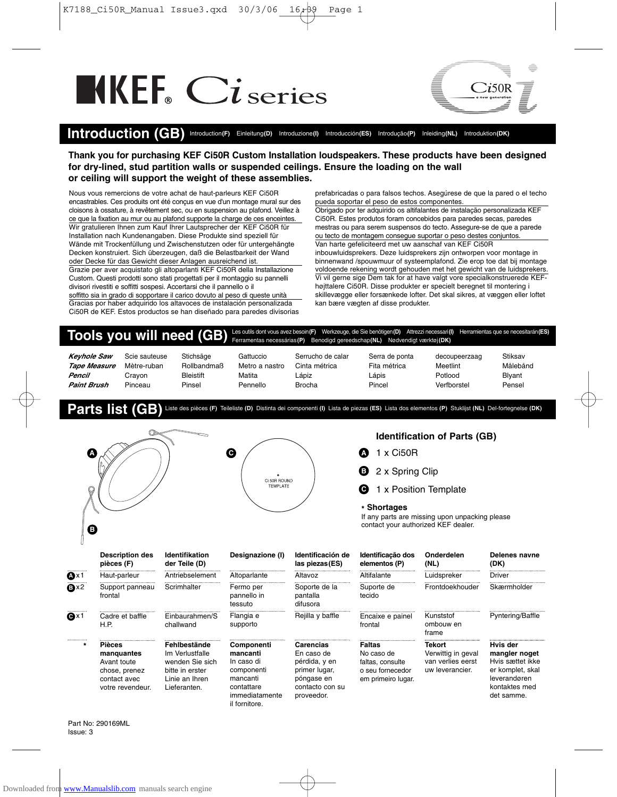## $\blacksquare$



## **Introduction (GB)** Introduction**(F)** Einleitung**(D)** Introduzione**(I)** Introducción**(ES)** Introdução**(P)** Inleiding**(NL)** Introduktion**(DK)**

**Thank you for purchasing KEF Ci50R Custom Installation loudspeakers. These products have been designed for dry-lined, stud partition walls or suspended ceilings. Ensure the loading on the wall or ceiling will support the weight of these assemblies.**

Nous vous remercions de votre achat de haut-parleurs KEF Ci50R encastrables. Ces produits ont été conçus en vue d'un montage mural sur des cloisons à ossature, à revêtement sec, ou en suspension au plafond. Veillez à ce que la fixation au mur ou au plafond supporte la charge de ces enceintes. Wir gratulieren Ihnen zum Kauf Ihrer Lautsprecher der KEF Ci50R für Installation nach Kundenangaben. Diese Produkte sind speziell für Wände mit Trockenfüllung und Zwischenstutzen oder für untergehängte Decken konstruiert. Sich überzeugen, daß die Belastbarkeit der Wand oder Decke für das Gewicht dieser Anlagen ausreichend ist. Grazie per aver acquistato gli altoparlanti KEF Ci50R della Installazione Custom. Questi prodotti sono stati progettati per il montaggio su pannelli divisori rivestiti e soffitti sospesi. Accertarsi che il pannello o il soffitto sia in grado di sopportare il carico dovuto al peso di queste unità Gracias por haber adquirido los altavoces de instalación personalizada Ci50R de KEF. Estos productos se han diseñado para paredes divisorias

prefabricadas o para falsos techos. Asegúrese de que la pared o el techo pueda soportar el peso de estos componentes.

Obrigado por ter adquirido os altifalantes de instalação personalizada KEF Ci50R. Estes produtos foram concebidos para paredes secas, paredes mestras ou para serem suspensos do tecto. Assegure-se de que a parede ou tecto de montagem consegue suportar o peso destes conjuntos. Van harte gefeliciteerd met uw aanschaf van KEF Ci50R inbouwluidsprekers. Deze luidsprekers zijn ontworpen voor montage in binnenwand /spouwmuur of systeemplafond. Zie erop toe dat bij montage voldoende rekening wordt gehouden met het gewicht van de luidsprekers. Vi vil gerne sige Dem tak for at have valgt vore specialkonstruerede KEFhøjttalere Ci50R. Disse produkter er specielt beregnet til montering i skillevægge eller forsænkede lofter. Det skal sikres, at væggen eller loftet kan bære vægten af disse produkter.

## **Tools you will need (GB)** Les outils dont vous avez besoin**(F)** Werkzeuge, die Sie benötigen**(D)** Attrezzi necessari**(I)** Herramientas que se necesitarán**(ES)** Ferramentas necessárias**(P)** Benodigd gereedschap**(NL)** Nødvendigt værktøj**(DK)**

| <b>Keyhole Saw</b> | Scie sauteuse | Stichsäge        | Gattuccio      | Serrucho de calar | Serra de ponta | decoupeerzaag | Stiksav  |
|--------------------|---------------|------------------|----------------|-------------------|----------------|---------------|----------|
| Tape Measure       | Mètre-ruban   | Rollbandmaß      | Metro a nastro | Cinta métrica     | Fita métrica   | Meetlint      | Målebånd |
| Pencil             | Cravon        | <b>Bleistift</b> | Matita         | Lápiz             | Lápis          | Potlood       | Blyant   |
| <b>Paint Brush</b> | Pinceau       | Pinsel           | Pennello       | <b>Brocha</b>     | Pincel         | Verfborstel   | Pensel   |

**Parts list (GB)** Liste des pièces **(F)** Teileliste **(D)** Distinta dei componenti **(I)** Lista de piezas **(ES)** Lista dos elementos **(P)** Stuklijst **(NL)** Del-fortegnelse **(DK)**



|                      | <b>Description des</b><br>pièces (F)                                                            | <b>Identifikation</b><br>der Teile (D)                                                                  | Designazione (I)                                                                                                | Identificación de<br>las piezas (ES)                                                                     | Identificação dos<br>elementos (P)                                                 | Onderdelen<br>(NL)                                                   | Delenes navne<br>(DK)                                                                                            |
|----------------------|-------------------------------------------------------------------------------------------------|---------------------------------------------------------------------------------------------------------|-----------------------------------------------------------------------------------------------------------------|----------------------------------------------------------------------------------------------------------|------------------------------------------------------------------------------------|----------------------------------------------------------------------|------------------------------------------------------------------------------------------------------------------|
| <br>t×∆              | Haut-parleur                                                                                    | Antriebselement                                                                                         | Altoparlante                                                                                                    | Altavoz                                                                                                  | Altifalante                                                                        | Luidspreker                                                          | Driver                                                                                                           |
| ®×2                  | Support panneau<br>frontal                                                                      | Scrimhalter                                                                                             | Fermo per<br>pannello in<br>tessuto                                                                             | Soporte de la<br>pantalla<br>difusora                                                                    | Suporte de<br>tecido                                                               | Frontdoekhouder                                                      | Skærmholder                                                                                                      |
| $\mathbf{\Theta}$ x1 | Cadre et baffle<br>H.P.                                                                         | Einbaurahmen/S<br>challwand                                                                             | Flangia e<br>supporto                                                                                           | Rejilla y baffle                                                                                         | Encaixe e painel<br>frontal                                                        | Kunststof<br>ombouw en<br>frame                                      | Pyntering/Baffle                                                                                                 |
| <br>$\star$          | <b>Pièces</b><br>manquantes<br>Avant toute<br>chose, prenez<br>contact avec<br>votre revendeur. | Fehlbestände<br>Im Verlustfalle<br>wenden Sie sich<br>bitte in erster<br>Linie an Ihren<br>Lieferanten. | Componenti<br>mancanti<br>In caso di<br>componenti<br>mancanti<br>contattare<br>immediatamente<br>il fornitore. | Carencias<br>En caso de<br>pérdida, y en<br>primer lugar,<br>póngase en<br>contacto con su<br>proveedor. | Faltas<br>No caso de<br>faltas, consulte<br>o seu fornecedor<br>em primeiro lugar. | Tekort<br>Verwittig in geval<br>van verlies eerst<br>uw leverancier. | Hvis der<br>mangler noget<br>Hvis sættet ikke<br>er komplet, skal<br>leverandøren<br>kontaktes med<br>det samme. |

Part No: 290169ML Issue: 3